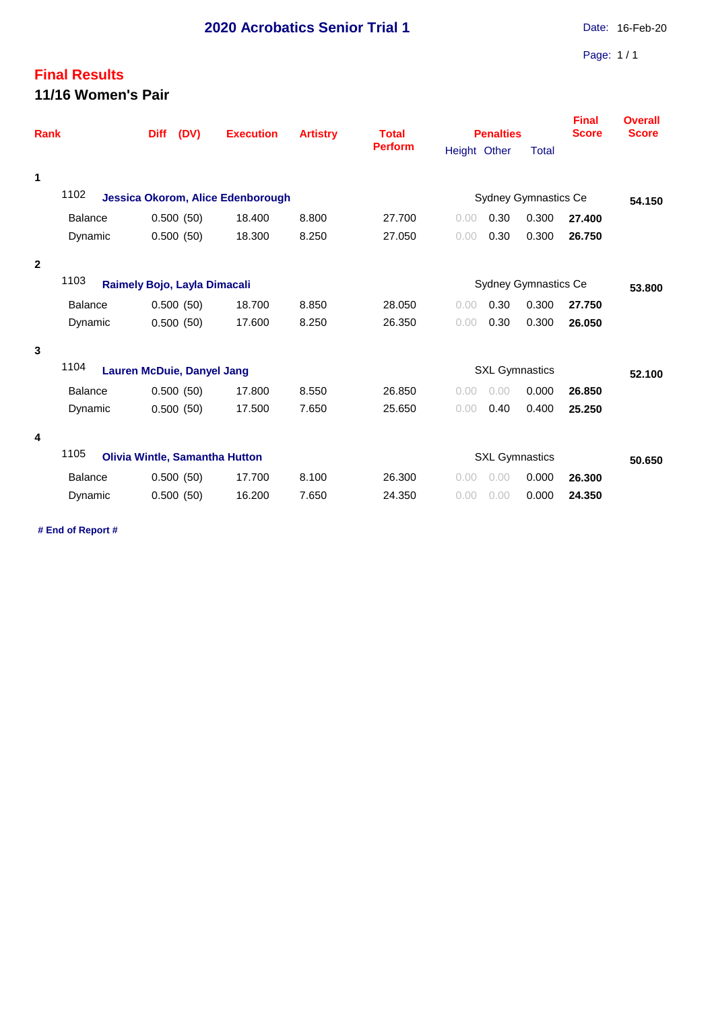## **Final Results 11/16 Women's Pair**

| <b>Rank</b>             |                                                                        | (DV)<br><b>Diff</b>               | <b>Execution</b> | <b>Artistry</b>             | <b>Total</b><br><b>Perform</b> | <b>Penalties</b> |              |       | <b>Final</b><br><b>Score</b> | <b>Overall</b><br><b>Score</b> |
|-------------------------|------------------------------------------------------------------------|-----------------------------------|------------------|-----------------------------|--------------------------------|------------------|--------------|-------|------------------------------|--------------------------------|
|                         | Height Other                                                           |                                   |                  |                             |                                |                  | <b>Total</b> |       |                              |                                |
| 1                       |                                                                        |                                   |                  |                             |                                |                  |              |       |                              |                                |
|                         | 1102                                                                   | Jessica Okorom, Alice Edenborough |                  |                             |                                | 54.150           |              |       |                              |                                |
|                         | <b>Balance</b>                                                         | 0.500(50)                         | 18.400           | 8.800                       | 27.700                         | 0.00             | 0.30         | 0.300 | 27.400                       |                                |
|                         | Dynamic                                                                | 0.500(50)                         | 18.300           | 8.250                       | 27.050                         | 0.00             | 0.30         | 0.300 | 26.750                       |                                |
| $\overline{2}$          |                                                                        |                                   |                  |                             |                                |                  |              |       |                              |                                |
|                         | 1103                                                                   | Raimely Bojo, Layla Dimacali      |                  | <b>Sydney Gymnastics Ce</b> | 53.800                         |                  |              |       |                              |                                |
|                         | <b>Balance</b>                                                         | 0.500(50)                         | 18.700           | 8.850                       | 28,050                         | 0.00             | 0.30         | 0.300 | 27.750                       |                                |
|                         | Dynamic                                                                | 0.500(50)                         | 17.600           | 8.250                       | 26.350                         | 0.00             | 0.30         | 0.300 | 26.050                       |                                |
| 3                       |                                                                        |                                   |                  |                             |                                |                  |              |       |                              |                                |
|                         | 1104                                                                   | <b>Lauren McDuie, Danyel Jang</b> |                  | <b>SXL Gymnastics</b>       | 52.100                         |                  |              |       |                              |                                |
|                         | <b>Balance</b>                                                         | 0.500(50)                         | 17.800           | 8.550                       | 26.850                         | 0.00             | 0.00         | 0.000 | 26.850                       |                                |
|                         | Dynamic                                                                | 0.500(50)                         | 17.500           | 7.650                       | 25.650                         | 0.00             | 0.40         | 0.400 | 25.250                       |                                |
| $\overline{\mathbf{4}}$ |                                                                        |                                   |                  |                             |                                |                  |              |       |                              |                                |
|                         | 1105<br><b>SXL Gymnastics</b><br><b>Olivia Wintle, Samantha Hutton</b> |                                   |                  |                             |                                |                  |              |       |                              | 50.650                         |
|                         | <b>Balance</b>                                                         | 0.500(50)                         | 17.700           | 8.100                       | 26,300                         | 0.00             | 0.00         | 0.000 | 26.300                       |                                |
|                         | Dynamic                                                                | 0.500(50)                         | 16.200           | 7.650                       | 24.350                         | 0.00             | 0.00         | 0.000 | 24.350                       |                                |

**# End of Report #**